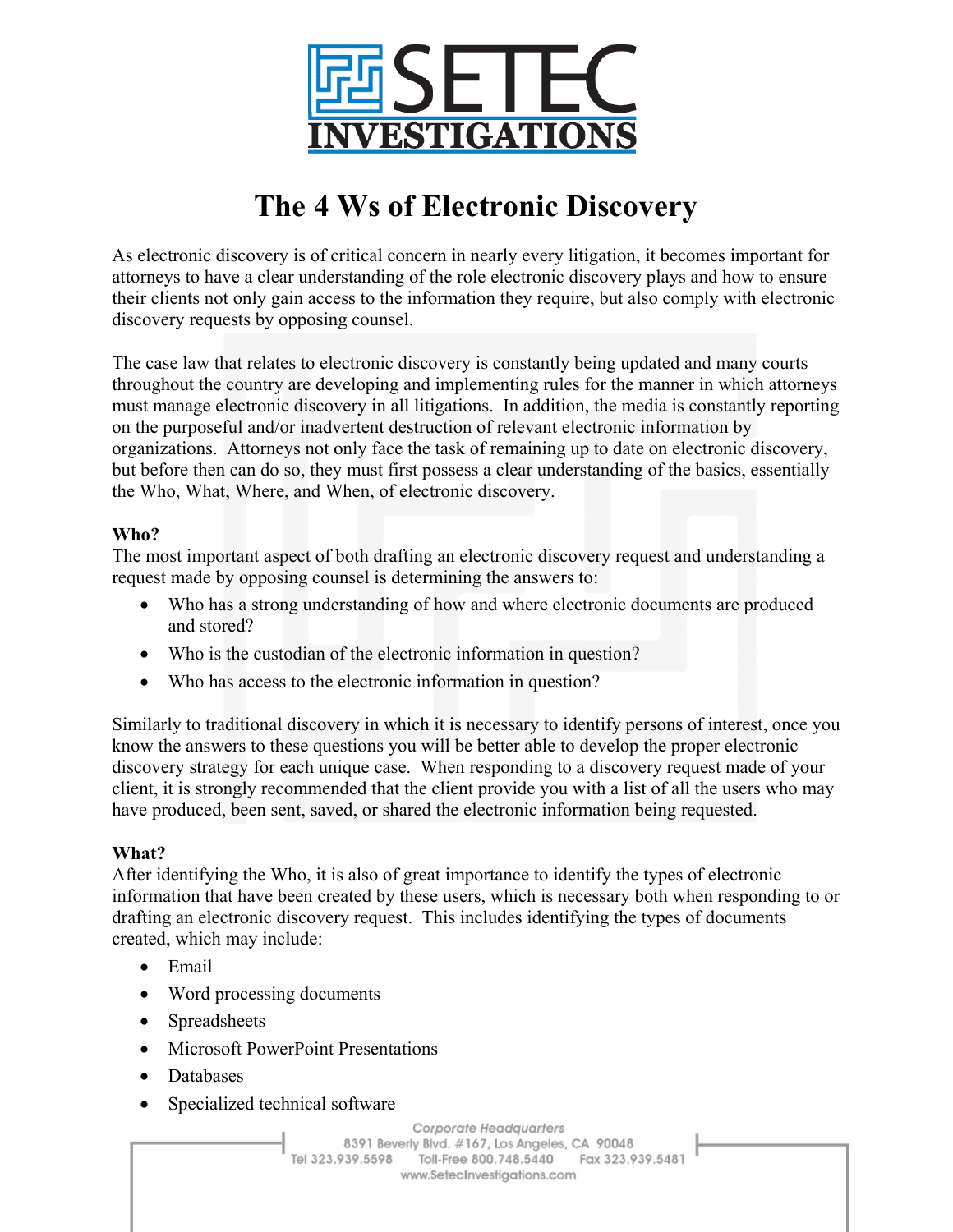

# **The 4 Ws of Electronic Discovery**

As electronic discovery is of critical concern in nearly every litigation, it becomes important for attorneys to have a clear understanding of the role electronic discovery plays and how to ensure their clients not only gain access to the information they require, but also comply with electronic discovery requests by opposing counsel.

The case law that relates to electronic discovery is constantly being updated and many courts throughout the country are developing and implementing rules for the manner in which attorneys must manage electronic discovery in all litigations. In addition, the media is constantly reporting on the purposeful and/or inadvertent destruction of relevant electronic information by organizations. Attorneys not only face the task of remaining up to date on electronic discovery, but before then can do so, they must first possess a clear understanding of the basics, essentially the Who, What, Where, and When, of electronic discovery.

## **Who?**

The most important aspect of both drafting an electronic discovery request and understanding a request made by opposing counsel is determining the answers to:

- Who has a strong understanding of how and where electronic documents are produced and stored?
- Who is the custodian of the electronic information in question?
- Who has access to the electronic information in question?

Similarly to traditional discovery in which it is necessary to identify persons of interest, once you know the answers to these questions you will be better able to develop the proper electronic discovery strategy for each unique case. When responding to a discovery request made of your client, it is strongly recommended that the client provide you with a list of all the users who may have produced, been sent, saved, or shared the electronic information being requested.

## **What?**

After identifying the Who, it is also of great importance to identify the types of electronic information that have been created by these users, which is necessary both when responding to or drafting an electronic discovery request. This includes identifying the types of documents created, which may include:

- Email
- Word processing documents
- Spreadsheets
- Microsoft PowerPoint Presentations
- Databases
- Specialized technical software

Corporate Headquarters 8391 Beverly Blvd. #167, Los Angeles, CA 90048 Tel 323.939.5598 Toll-Free 800.748.5440 Fax 323.939.5481 www.SetecInvestigations.com